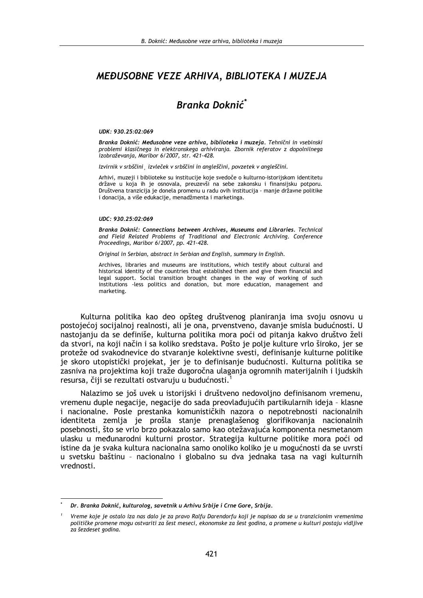## MEĐUSOBNE VEZE ARHIVA, BIBLIOTEKA I MUZEJA

# Branka Doknić<sup>\*</sup>

#### UDK: 930.25:02:069

Branka Doknić: Međusobne veze arhiva, biblioteka i muzeja. Tehnični in vsebinski problemi klasičnega in elektronskega arhiviranja. Zbornik referatov z dopolnilnega izobraževanja, Maribor 6/2007, str. 421-428.

Izvirnik v srbščini izvleček v srbščini in angleščini, povzetek v angleščini.

Arhivi, muzeji i biblioteke su institucije koje svedoče o kulturno-istorijskom identitetu države u koja ih je osnovala, preuzevši na sebe zakonsku i finansijsku potporu. Društvena tranzicija je donela promenu u radu ovih institucija - manje državne politike i donacija, a više edukacije, menadžmenta i marketinga.

#### UDC: 930.25:02:069

Branka Doknić: Connections between Archives, Museums and Libraries. Technical and Field Related Problems of Traditional and Electronic Archiving. Conference Proceedings, Maribor 6/2007, pp. 421-428.

Original in Serbian, abstract in Serbian and English, summary in English.

Archives, libraries and museums are institutions, which testify about cultural and historical identity of the countries that established them and give them financial and legal support. Social transition brought changes in the way of working of such institutions -less politics and donation, but more education, management and marketing.

Kulturna politika kao deo opšteg društvenog planiranja ima svoju osnovu u postojećoj socijalnoj realnosti, ali je ona, prvenstveno, davanje smisla budućnosti. U nastojanju da se definiše, kulturna politika mora poći od pitanja kakvo društvo želi da stvori, na koji način i sa koliko sredstava. Pošto je polje kulture vrlo široko, jer se proteže od svakodnevice do stvaranje kolektivne svesti, definisanje kulturne politike je skoro utopistički projekat, jer je to definisanje budućnosti. Kulturna politika se zasniva na projektima koji traže dugoročna ulaganja ogromnih materijalnih i ljudskih resursa, čiji se rezultati ostvaruju u budućnosti.

Nalazimo se još uvek u istorijski i društveno nedovoljno definisanom vremenu, vremenu duple negacije, negacije do sada preovlađujućih partikularnih ideja - klasne i nacionalne. Posle prestanka komunističkih nazora o nepotrebnosti nacionalnih identiteta zemlja je prošla stanje prenaglašenog glorifikovanja nacionalnih posebnosti, što se vrlo brzo pokazalo samo kao otežavajuća komponenta nesmetanom ulasku u međunarodni kulturni prostor. Strategija kulturne politike mora poći od istine da je svaka kultura nacionalna samo onoliko koliko je u mogućnosti da se uvrsti u svetsku baštinu - nacionalno i globalno su dva jednaka tasa na vagi kulturnih vrednosti.

Dr. Branka Doknić, kulturolog, savetnik u Arhivu Srbije i Crne Gore, Srbija.

Vreme koje je ostalo iza nas dalo je za pravo Ralfu Darendorfu koji je napisao da se u tranzicionim vremenima političke promene mogu ostvariti za šest meseci, ekonomske za šest godina, a promene u kulturi postaju vidljive za šezdeset godina.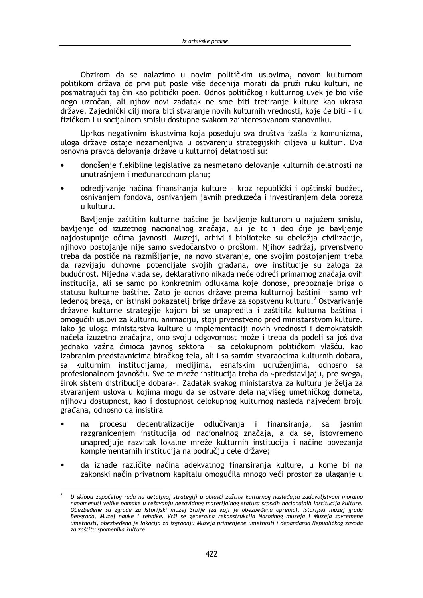Obzirom da se nalazimo u novim političkim uslovima, novom kulturnom politikom država će prvi put posle više decenija morati da pruži ruku kulturi, ne posmatrajući taj čin kao politički poen. Odnos političkog i kulturnog uvek je bio više nego uzročan, ali njhov novi zadatak ne sme biti tretiranje kulture kao ukrasa države. Zajednički cilj mora biti stvaranje novih kulturnih vrednosti, koje će biti - i u fizičkom i u socijalnom smislu dostupne svakom zainteresovanom stanovniku.

Uprkos negativnim iskustvima koja poseduju sva društva izašla iz komunizma, uloga države ostaje nezamenljiva u ostvarenju strategijskih ciljeva u kulturi. Dva osnovna pravca delovanja države u kulturnoj delatnosti su:

- donošenje flekibilne legislative za nesmetano delovanje kulturnih delatnosti na unutrašnjem i međunarodnom planu;
- odredjivanje načina finansiranja kulture kroz republički i opštinski budžet, osnivanjem fondova, osnivanjem javnih preduzeća i investiranjem dela poreza u kulturu.

Bavljenje zaštitim kulturne baštine je bavljenje kulturom u najužem smislu, bavljenje od izuzetnog nacionalnog značaja, ali je to i deo čije je bavljenje najdostupnije očima javnosti. Muzeji, arhivi i biblioteke su obeležja civilizacije, nijhovo postojanje nije samo svedočanstvo o prošlom. Njihov sadržaj, prvenstveno treba da postiče na razmišljanje, na novo stvaranje, one svojim postojanjem treba da razvijaju duhovne potencijale svojih građana, ove institucije su zaloga za budućnost. Nijedna vlada se, deklarativno nikada neće odreći primarnog značaja ovih institucija, ali se samo po konkretnim odlukama koje donose, prepoznaje briga o statusu kulturne baštine. Zato je odnos države prema kulturnoj baštini - samo vrh ledenog brega, on istinski pokazatelj brige države za sopstvenu kulturu.<sup>2</sup> Ostvarivanje državne kulturne strategije kojom bi se unapredila i zaštitila kulturna baština i omogućili uslovi za kulturnu animaciju, stoji prvenstveno pred ministarstvom kulture. lako je uloga ministarstva kulture u implementaciji novih vrednosti i demokratskih načela izuzetno značajna, ono svoju odgovornost može i treba da podeli sa još dva jednako važna činioca javnog sektora - sa celokupnom političkom vlašću, kao izabranim predstavnicima biračkog tela, ali i sa samim stvaraocima kulturnih dobara, kulturnim institucijama, medijima, esnafskim udruženjima, odnosno sa sa profesionalnom javnošću. Sve te mreže institucija treba da »predstavljaju, pre svega, širok sistem distribucije dobara«. Zadatak svakog ministarstva za kulturu je želja za stvaranjem uslova u kojima mogu da se ostvare dela najvišeg umetničkog dometa, njihovu dostupnost, kao i dostupnost celokupnog kulturnog nasleđa najvećem broju građana, odnosno da insistira

- procesu decentralizacije odlučivania i finansirania. na sa iasnim razgranicenjem institucija od nacionalnog značaja, a da se, istovremeno unapredjuje razvitak lokalne mreže kulturnih institucija i načine povezanja komplementarnih institucija na području cele države;
- da iznađe različite načina adekvatnog finansiranja kulture, u kome bi na zakonski način privatnom kapitalu omogućila mnogo veći prostor za ulaganje u

U sklopu započetog rada na detaljnoj strategiji u oblasti zaštite kulturnog nasleđa, sa zadovoljstvom moramo napomenuti velike pomake u rešavanju nezavidnog materijalnog statusa srpskih nacionalnih institucija kulture. Obezbeđene su zgrade za Istorijski muzej Srbije (za koji je obezbeđena oprema), Istorijski muzej grada Beograda, Muzej nauke i tehnike. Vrši se generalna rekonstrukcija Narodnog muzeja i Muzeja savremene umetnosti, obezbeđena je lokacija za izgradnju Muzeja primenjene umetnosti i depandansa Republičkog zavoda za zaštitu spomenika kulture.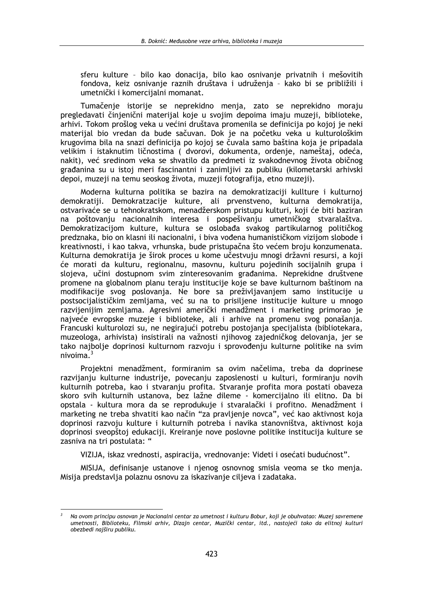sferu kulture - bilo kao donacija, bilo kao osnivanje privatnih i mešovitih fondova, kejz osnivanje raznih društava i udruženja - kako bi se približili i umetnički i komercijalni momanat.

Tumačenje istorije se neprekidno menja, zato se neprekidno moraju pregledavati činienični materijal koje u svojim depojma imaju muzeji, biblioteke, arhivi. Tokom prošlog veka u većini društava promenila se definicija po kojoj je neki materijal bio vredan da bude sačuvan. Dok je na početku veka u kulturološkim krugovima bila na snazi definicija po kojoj se čuvala samo baština koja je pripadala velikim i istaknutim ličnostima ( dvorovi, dokumenta, ordenje, nameštaj, odeća, nakit), već sredinom veka se shvatilo da predmeti iz svakodnevnog života običnog građanina su u istoj meri fascinantni i zanimljivi za publiku (kilometarski arhivski depoi, muzeji na temu seoskog života, muzeji fotografija, etno muzeji).

Moderna kulturna politika se bazira na demokratizaciji kullture i kulturnoj demokratiji. Demokratzacije kulture, ali prvenstveno, kulturna demokratija, ostvarivaće se u tehnokratskom, menadžerskom pristupu kulturi, koji će biti baziran na poštovanju nacionalnih interesa i pospešivanju umetničkog stvaralaštva. Demokratizacijom kulture, kultura se oslobađa svakog partikularnog političkog predznaka, bio on klasni ili nacionalni, i biva vođena humanističkom vizijom slobode i kreativnosti, i kao takva, vrhunska, bude pristupačna što većem broju konzumenata. Kulturna demokratija je širok proces u kome učestvuju mnogi državni resursi, a koji će morati da kulturu, regionalnu, masovnu, kulturu pojedinih socijalnih grupa i slojeva, učini dostupnom svim zinteresovanim građanima. Neprekidne društvene promene na globalnom planu teraju institucije koje se bave kulturnom baštinom na modifikacije svog poslovanja. Ne bore sa preživljavanjem samo institucije u postsocijalističkim zemljama, već su na to prisiljene institucije kulture u mnogo razvijenijim zemljama. Agresivni američki menadžment i marketing primorao je najveće evropske muzeje i biblioteke, ali i arhive na promenu svog ponašanja. Francuski kulturolozi su, ne negirajući potrebu postojanja specijalista (bibliotekara, muzeologa, arhivista) insistirali na važnosti njihovog zajedničkog delovanja, jer se tako najbolje doprinosi kulturnom razvoju i sprovođenju kulturne politike na svim nivoima $3$ 

Projektni menadžment, formiranim sa ovim načelima, treba da doprinese razvijanju kulturne industrije, povecanju zaposlenosti u kulturi, formiranju novih kulturnih potreba, kao i stvaranju profita. Stvaranje profita mora postati obaveza skoro svih kulturnih ustanova, bez lažne dileme - komercijalno ili elitno. Da bi opstala - kultura mora da se reprodukuje i stvaralački i profitno. Menadžment i marketing ne treba shvatiti kao način "za pravljenje novca", već kao aktivnost koja doprinosi razvoju kulture i kulturnih potreba i navika stanovništva, aktivnost koja doprinosi sveopštoj edukaciji. Kreiranje nove poslovne politike institucija kulture se zasniva na tri postulata: "

VIZIJA, iskaz vrednosti, aspiracija, vrednovanje: Videti i osećati budućnost".

MISIJA, definisanje ustanove i njenog osnovnog smisla veoma se tko menja. Misija predstavlja polaznu osnovu za iskazivanje ciljeva i zadataka.

Na ovom principu osnovan je Nacionalni centar za umetnost i kulturu Bobur, koji je obuhvatao: Muzej savremene umetnosti, Biblioteku, Filmski arhiv, Dizajn centar, Muzički centar, itd., nastojeći tako da elitnoj kulturi obezbedi najširu publiku.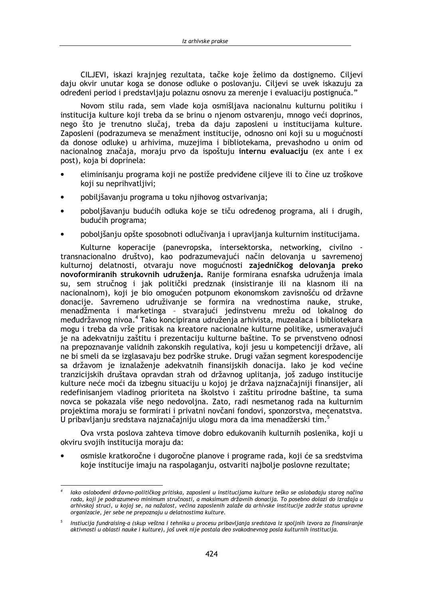CILJEVI, iskazi krajnieg rezultata, tačke koje želimo da dostignemo. Ciljevi daju okvir unutar koga se donose odluke o poslovanju. Ciljevi se uvek iskazuju za određeni period i predstavliaju polaznu osnovu za merenie i evaluaciju postignuća."

Novom stilu rada, sem vlade koja osmišliava nacionalnu kulturnu politiku i institucija kulture koji treba da se brinu o njenom ostvarenju, mnogo veći doprinos, nego što je trenutno slučaj, treba da daju zaposleni u institucijama kulture. Zaposleni (podrazumeva se menažment institucije, odnosno oni koji su u mogućnosti da donose odluke) u arhivima, muzejima i bibliotekama, prevashodno u onim od nacionalnog značaja, moraju prvo da ispoštuju internu evaluaciju (ex ante i ex post), koja bi doprinela:

- eliminisanju programa koji ne postiže predviđene ciljeve ili to čine uz troškove koji su neprihvatljivi;
- pobiljšavanju programa u toku njihovog ostvarivanja;
- poboljšavanju budućih odluka koje se tiču određenog programa, ali i drugih, budućih programa;
- poboljšanju opšte sposobnoti odlučivanja i upravljanja kulturnim institucijama.

Kulturne koperacije (panevropska, intersektorska, networking, civilno transnacionalno društvo), kao podrazumevajući način delovanja u savremenoj kulturnoj delatnosti, otvaraju nove mogućnosti zajedničkog delovanja preko novoformiranih strukovnih udruženja. Ranije formirana esnafska udruženja imala su, sem stručnog i jak politički predznak (insistiranje ili na klasnom ili na nacionalnom), koji je bio omogućen potpunom ekonomskom zavisnošću od državne donacije. Savremeno udruživanje se formira na vrednostima nauke, struke, menadžmenta i marketinga - stvarajući jedinstvenu mrežu od lokalnog do međudržavnog nivoa.<sup>4</sup> Tako koncipirana udruženja arhivista, muzealaca i bibliotekara mogu i treba da vrše pritisak na kreatore nacionalne kulturne politike, usmeravajući je na adekvatniju zaštitu i prezentaciju kulturne baštine. To se prvenstveno odnosi na prepoznavanje validnih zakonskih regulativa, koji jesu u kompetenciji države, ali ne bi smeli da se izglasavaju bez podrške struke. Drugi važan segment korespodencije sa državom je iznalaženje adekvatnih finansijskih donacija. Iako je kod većine tranzicijskih društava opravdan strah od državnog uplitanja, još zadugo institucije kulture neće moći da izbegnu situaciju u kojoj je država najznačajniji finansijer, ali redefinisaniem vladinog prioriteta na školstvo i zaštitu prirodne baštine, ta suma novca se pokazala više nego nedovolina. Zato, radi nesmetanog rada na kulturnim projektima moraju se formirati i privatni novčani fondovi, sponzorstva, mecenatstva, U pribavljanju sredstava najznačajniju ulogu mora da ima menadžerski tim.<sup>5</sup>

Ova vrsta poslova zahteva timove dobro edukovanih kulturnih poslenika, koji u okviru svojih institucija moraju da:

osmisle kratkoročne i dugoročne planove i programe rada, koji će sa sredstvima koje institucije imaju na raspolaganju, ostvariti najbolje poslovne rezultate;

lako oslobođeni državno-političkog pritiska, zaposleni u institucijama kulture teško se oslobađaju starog načina rada, koji je podrazumevo minimum stručnosti, a maksimum državnih donacija. To posebno dolazi do izražaja u arhivskoj struci, u kojoj se, na nažalost, većina zaposlenih zalaže da arhivske institucije zadrže status upravne organizacie, jer sebe ne prepoznaju u delatnostima kulture.

Instiucija fundraising-a (skup veštna i tehnika u procesu pribavljanja sredstava iz spoljnih izvora za finansiranje aktivnosti u oblasti nauke i kulture), još uvek nije postala deo svakodnevnog posla kulturnih institucija.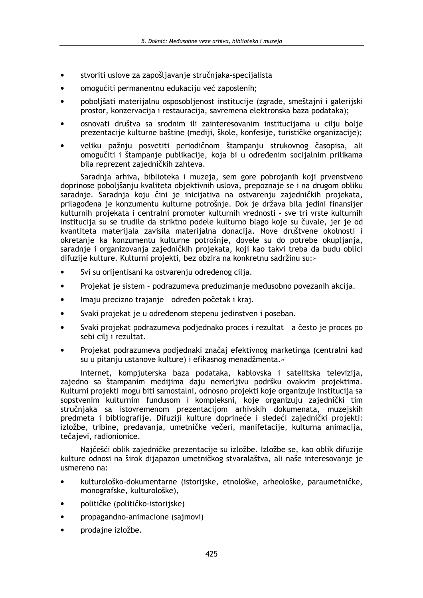- stvoriti uslove za zapošliavanie stručniaka-specijalista  $\bullet$
- omogućiti permanentnu edukaciju već zaposlenih;
- poboljšati materijalnu osposobljenost institucije (zgrade, smeštajni i galerijski prostor, konzervacija i restauracija, savremena elektronska baza podataka);
- osnovati društva sa srodnim ili zainteresovanim institucijama u cilju bolje prezentacije kulturne baštine (mediji, škole, konfesije, turističke organizacije);
- veliku pažnju posvetiti periodičnom štampanju strukovnog časopisa, ali omogučiti i štampanje publikacije, koja bi u određenim socijalnim prilikama bila reprezent zajedničkih zahteva.

Saradnia arhiva, biblioteka i muzeja, sem gore pobrojanih koji prvenstveno doprinose pobolišanju kvaliteta objektivnih uslova, prepoznaje se i na drugom obliku saradnje. Saradnja koju čini je inicijativa na ostvarenju zajedničkih projekata, prilagođena je konzumentu kulturne potrošnje. Dok je država bila jedini finansijer kulturnih projekata i centralni promoter kulturnih vrednosti - sve tri vrste kulturnih institucija su se trudile da striktno podele kulturno blago koje su čuvale, jer je od kvantiteta materijala zavisila materijalna donacija. Nove društvene okolnosti i okretanje ka konzumentu kulturne potrošnje, dovele su do potrebe okupliania, saradnje i organizovanja zajedničkih projekata, koji kao takvi treba da budu oblici difuzije kulture. Kulturni projekti, bez obzira na konkretnu sadržinu su:»

- Svi su orijentisani ka ostvarenju određenog cilja.
- Projekat je sistem podrazumeva preduzimanje međusobno povezanih akcija.
- Imaju precizno trajanje određen početak i kraj.
- Svaki projekat je u određenom stepenu jedinstven i poseban.
- Svaki projekat podrazumeva podjednako proces i rezultat a često je proces po sebi cili i rezultat.
- Projekat podrazumeva podjednaki značaj efektivnog marketinga (centralni kad su u pitanju ustanove kulture) i efikasnog menadžmenta.»

Internet, kompiuterska baza podataka, kablovska i satelitska televizija, zajedno sa štampanim medijima daju nemerljivu podršku ovakvim projektima. Kulturni projekti mogu biti samostalni, odnosno projekti koje organizuje institucija sa sopstvenim kulturnim fundusom i kompleksni, koje organizuju zajednički tim stručniaka sa istovremenom prezentacijom arhivskih dokumenata, muzejskih predmeta i bibliografije. Difuziji kulture doprineće i sledeći zajednički projekti: izložbe, tribine, predavanja, umetničke večeri, manifetacije, kulturna animacija, tečajevi, radionionice.

Najčešći oblik zajedničke prezentacije su izložbe. Izložbe se, kao oblik difuzije kulture odnosi na širok dijapazon umetničkog stvaralaštva, ali naše interesovanje je usmereno na:

- kulturološko-dokumentarne (istorijske, etnološke, arheološke, paraumetničke, monografske, kulturološke),
- političke (političko-istorijske)
- propagandno-animacione (sajmovi)
- prodajne izložbe.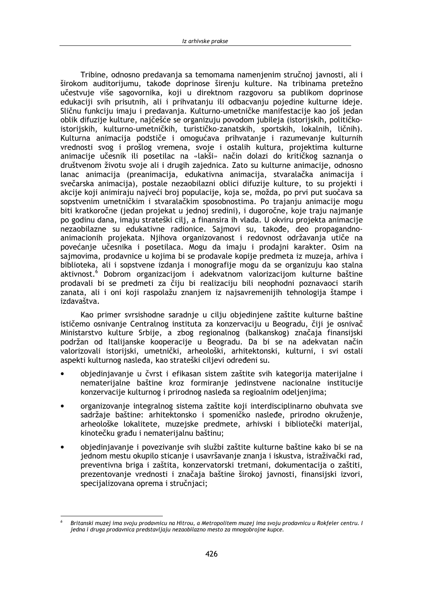Tribine, odnosno predavania sa temomama namenienim stručnoj javnosti, ali i širokom auditorijumu, takođe doprinose širenju kulture. Na tribinama pretežno učestvuje više sagovornika, koji u direktnom razgovoru sa publikom doprinose edukaciji svih prisutnih, ali i prihvatanju ili odbacvanju pojedine kulturne ideje. Sličnu funkciju imaju i predavanja. Kulturno-umetničke manifestacije kao još jedan oblik difuzije kulture, najčešće se organizuju povodom jubileja (istorijskih, političkoistorijskih, kulturno-umetničkih, turističko-zanatskih, sportskih, lokalnih, ličnih). Kulturna animacija podstiče i omogućava prihvatanje i razumevanje kulturnih vrednosti svog i prošlog vremena, svoje i ostalih kultura, projektima kulturne animacije učesnik ili posetilac na «lakši» način dolazi do kritičkog saznanja o društvenom životu svoje ali i drugih zajednica. Zato su kulturne animacije, odnosno lanac animacija (preanimacija, edukativna animacija, stvaralačka animacija i svečarska animacija), postale nezaobilazni oblici difuzije kulture, to su projekti i akcije koji animiraju najveći broj populacije, koja se, možda, po prvi put suočava sa sopstvenim umetničkim i stvaralačkim sposobnostima. Po trajanju animacije mogu biti kratkoročne (jedan projekat u jednoj sredini), i dugoročne, koje traju najmanje po godinu dana, imaju strateški cilj, a finansira ih vlada. U okviru projekta animacije nezaobilazne su edukativne radionice. Sajmovi su, takođe, deo propagandnoanimacionih projekata. Nijhova organizovanost i redovnost održavanja utiče na povećanje učesnika i posetilaca. Mogu da imaju i prodajni karakter. Osim na sajmovima, prodavnice u kojima bi se prodavale kopije predmeta iz muzeja, arhiva i biblioteka, ali i sopstvene izdanja i monografije mogu da se organizuju kao stalna aktivnost.<sup>6</sup> Dobrom organizacijom i adekvatnom valorizacijom kulturne baštine prodavali bi se predmeti za čiju bi realizaciju bili neophodni poznavaoci starih zanata, ali i oni koji raspolažu znanjem iz najsavremenijih tehnologija štampe i izdavaštva.

Kao primer svrsishodne saradnje u cilju objedinjene zaštite kulturne baštine ističemo osnivanie Centralnog instituta za konzervaciju u Beogradu, čiji je osnivač Ministarstvo kulture Srbije, a zbog regionalnog (balkanskog) značaja finansijski podržan od Italijanske kooperacije u Beogradu. Da bi se na adekvatan način valorizovali istorijski, umetnički, arheološki, arhitektonski, kulturni, i svi ostali aspekti kulturnog nasleđa, kao strateški ciljevi određeni su.

- objedinjavanje u čvrst i efikasan sistem zaštite svih kategorija materijalne i nematerijalne baštine kroz formiranje jedinstvene nacionalne institucije konzervacije kulturnog i prirodnog nasleđa sa regioalnim odeljenjima;
- organizovanje integralnog sistema zaštite koji interdisciplinarno obuhvata sve sadržaje baštine: arhitektonsko i spomeničko nasleđe, prirodno okruženje, arheološke lokalitete, muzejske predmete, arhivski i bibliotečki materijal, kinotečku građu i nematerijalnu baštinu;
- objedinjavanje i povezivanje svih službi zaštite kulturne baštine kako bi se na jednom mestu okupilo sticanie i usavršavanie znania i iskustva, istraživački rad, preventivna briga i zaštita, konzervatorski tretmani, dokumentacija o zaštiti, prezentovanje vrednosti i značaja baštine širokoj javnosti, finansijski izvori, specijalizovana oprema i stručnjaci;

Britanski muzej ima svoju prodavnicu na Hitrou, a Metropolitem muzej ima svoju prodavnicu u Rokfeler centru. I jedna i druga prodavnica predstavljaju nezaobilazno mesto za mnogobrojne kupce.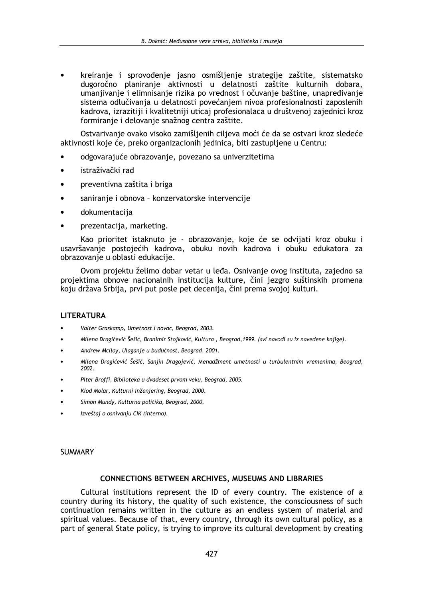kreiranie i sprovođenie jasno osmišlienie strategije zaštite, sistematsko dugoročno planiranje aktivnosti u delatnosti zaštite kulturnih dobara, umaniivanie i elimnisanie rizika po vrednost i očuvanie baštine, unapređivanie sistema odlučivanja u delatnosti povećanjem nivoa profesionalnosti zaposlenih kadrova, izrazitiji i kvalitetniji uticaj profesionalaca u društvenoj zajednici kroz formiranje i delovanje snažnog centra zaštite.

Ostvarivanje ovako visoko zamišljenih ciljeva moći će da se ostvari kroz sledeće aktivnosti koje će, preko organizacionih jedinica, biti zastupljene u Centru:

- odgovarajuće obrazovanje, povezano sa univerzitetima  $\bullet$
- istraživački rad  $\bullet$
- preventivna zaštita i briga
- saniranje i obnova konzervatorske intervencije
- dokumentacija
- prezentacija, marketing.

Kao prioritet istaknuto je - obrazovanje, koje će se odvijati kroz obuku i usavršavanje postojećih kadrova, obuku novih kadrova i obuku edukatora za obrazovanje u oblasti edukacije.

Ovom projektu želimo dobar vetar u leđa. Osnivanje ovog instituta, zajedno sa projektima obnove nacionalnih institucija kulture, čini jezgro suštinskih promena koju država Srbija, prvi put posle pet decenija, čini prema svojoj kulturi.

### **LITERATURA**

- Valter Graskamp, Umetnost i novac, Beograd, 2003.
- Milena Dragićević Šešić, Branimir Stojković, Kultura, Beograd, 1999. (svi navodi su iz navedene knjige).
- Andrew Mclloy, Ulaganje u budućnost, Beograd, 2001.
- Milena Dragićević Šešić, Sanjin Dragojević, Menadžment umetnosti u turbulentnim vremenima, Beograd, 2002.
- Piter Broffi, Biblioteka u dvadeset prvom veku, Beograd, 2005.
- Klod Molar, Kulturni inženjering, Beograd, 2000.
- Simon Mundy, Kulturna politika, Beograd, 2000.
- Izveštaj o osnivanju CIK (interno).

### **SUMMARY**

### **CONNECTIONS BETWEEN ARCHIVES, MUSEUMS AND LIBRARIES**

Cultural institutions represent the ID of every country. The existence of a country during its history, the quality of such existence, the consciousness of such continuation remains written in the culture as an endless system of material and spiritual values. Because of that, every country, through its own cultural policy, as a part of general State policy, is trying to improve its cultural development by creating